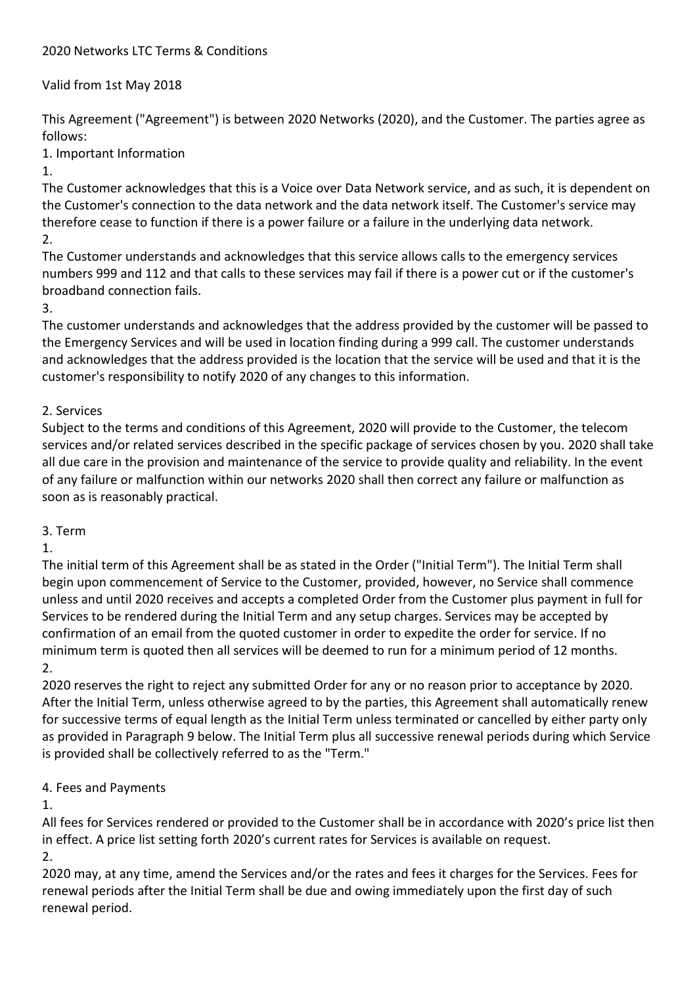### 2020 Networks LTC Terms & Conditions

### Valid from 1st May 2018

This Agreement ("Agreement") is between 2020 Networks (2020), and the Customer. The parties agree as follows:

1. Important Information

1.

The Customer acknowledges that this is a Voice over Data Network service, and as such, it is dependent on the Customer's connection to the data network and the data network itself. The Customer's service may therefore cease to function if there is a power failure or a failure in the underlying data network. 2.

The Customer understands and acknowledges that this service allows calls to the emergency services numbers 999 and 112 and that calls to these services may fail if there is a power cut or if the customer's broadband connection fails.

3.

The customer understands and acknowledges that the address provided by the customer will be passed to the Emergency Services and will be used in location finding during a 999 call. The customer understands and acknowledges that the address provided is the location that the service will be used and that it is the customer's responsibility to notify 2020 of any changes to this information.

## 2. Services

Subject to the terms and conditions of this Agreement, 2020 will provide to the Customer, the telecom services and/or related services described in the specific package of services chosen by you. 2020 shall take all due care in the provision and maintenance of the service to provide quality and reliability. In the event of any failure or malfunction within our networks 2020 shall then correct any failure or malfunction as soon as is reasonably practical.

#### 3. Term

1.

The initial term of this Agreement shall be as stated in the Order ("Initial Term"). The Initial Term shall begin upon commencement of Service to the Customer, provided, however, no Service shall commence unless and until 2020 receives and accepts a completed Order from the Customer plus payment in full for Services to be rendered during the Initial Term and any setup charges. Services may be accepted by confirmation of an email from the quoted customer in order to expedite the order for service. If no minimum term is quoted then all services will be deemed to run for a minimum period of 12 months. 2.

2020 reserves the right to reject any submitted Order for any or no reason prior to acceptance by 2020. After the Initial Term, unless otherwise agreed to by the parties, this Agreement shall automatically renew for successive terms of equal length as the Initial Term unless terminated or cancelled by either party only as provided in Paragraph 9 below. The Initial Term plus all successive renewal periods during which Service is provided shall be collectively referred to as the "Term."

4. Fees and Payments

1.

All fees for Services rendered or provided to the Customer shall be in accordance with 2020's price list then in effect. A price list setting forth 2020's current rates for Services is available on request. 2.

2020 may, at any time, amend the Services and/or the rates and fees it charges for the Services. Fees for renewal periods after the Initial Term shall be due and owing immediately upon the first day of such renewal period.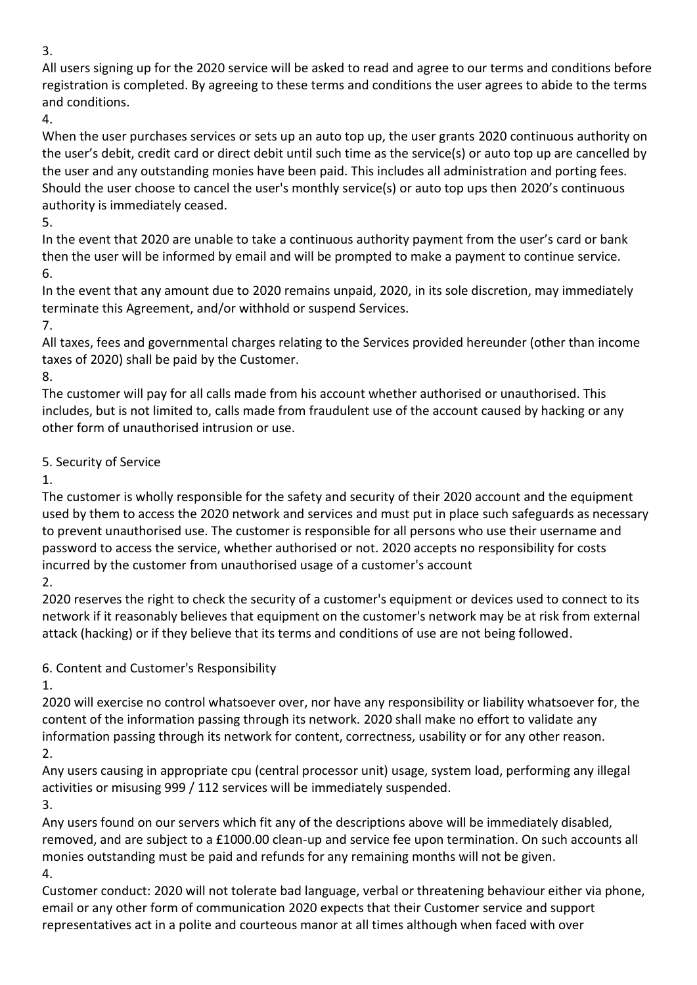3.

All users signing up for the 2020 service will be asked to read and agree to our terms and conditions before registration is completed. By agreeing to these terms and conditions the user agrees to abide to the terms and conditions.

4.

When the user purchases services or sets up an auto top up, the user grants 2020 continuous authority on the user's debit, credit card or direct debit until such time as the service(s) or auto top up are cancelled by the user and any outstanding monies have been paid. This includes all administration and porting fees. Should the user choose to cancel the user's monthly service(s) or auto top ups then 2020's continuous authority is immediately ceased.

5.

In the event that 2020 are unable to take a continuous authority payment from the user's card or bank then the user will be informed by email and will be prompted to make a payment to continue service. 6.

In the event that any amount due to 2020 remains unpaid, 2020, in its sole discretion, may immediately terminate this Agreement, and/or withhold or suspend Services.

7.

All taxes, fees and governmental charges relating to the Services provided hereunder (other than income taxes of 2020) shall be paid by the Customer.

8.

The customer will pay for all calls made from his account whether authorised or unauthorised. This includes, but is not limited to, calls made from fraudulent use of the account caused by hacking or any other form of unauthorised intrusion or use.

5. Security of Service

1.

The customer is wholly responsible for the safety and security of their 2020 account and the equipment used by them to access the 2020 network and services and must put in place such safeguards as necessary to prevent unauthorised use. The customer is responsible for all persons who use their username and password to access the service, whether authorised or not. 2020 accepts no responsibility for costs incurred by the customer from unauthorised usage of a customer's account

2.

2020 reserves the right to check the security of a customer's equipment or devices used to connect to its network if it reasonably believes that equipment on the customer's network may be at risk from external attack (hacking) or if they believe that its terms and conditions of use are not being followed.

6. Content and Customer's Responsibility

1.

2020 will exercise no control whatsoever over, nor have any responsibility or liability whatsoever for, the content of the information passing through its network. 2020 shall make no effort to validate any information passing through its network for content, correctness, usability or for any other reason. 2.

Any users causing in appropriate cpu (central processor unit) usage, system load, performing any illegal activities or misusing 999 / 112 services will be immediately suspended. 3.

Any users found on our servers which fit any of the descriptions above will be immediately disabled, removed, and are subject to a £1000.00 clean-up and service fee upon termination. On such accounts all monies outstanding must be paid and refunds for any remaining months will not be given. 4.

Customer conduct: 2020 will not tolerate bad language, verbal or threatening behaviour either via phone, email or any other form of communication 2020 expects that their Customer service and support representatives act in a polite and courteous manor at all times although when faced with over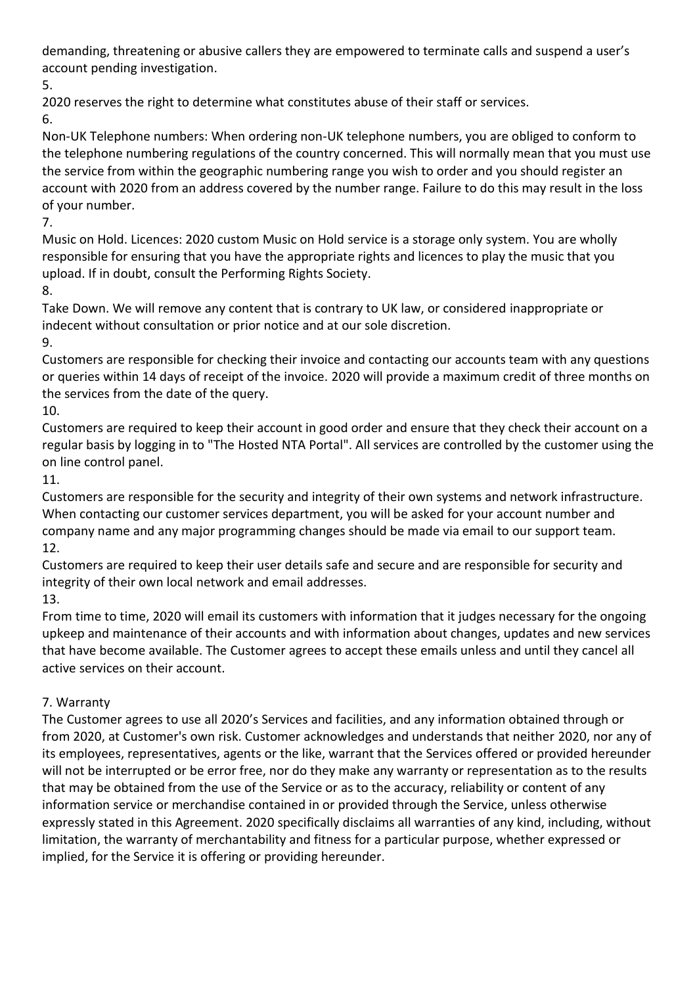demanding, threatening or abusive callers they are empowered to terminate calls and suspend a user's account pending investigation.

5.

2020 reserves the right to determine what constitutes abuse of their staff or services.

6.

Non-UK Telephone numbers: When ordering non-UK telephone numbers, you are obliged to conform to the telephone numbering regulations of the country concerned. This will normally mean that you must use the service from within the geographic numbering range you wish to order and you should register an account with 2020 from an address covered by the number range. Failure to do this may result in the loss of your number.

7.

Music on Hold. Licences: 2020 custom Music on Hold service is a storage only system. You are wholly responsible for ensuring that you have the appropriate rights and licences to play the music that you upload. If in doubt, consult the Performing Rights Society.

8.

Take Down. We will remove any content that is contrary to UK law, or considered inappropriate or indecent without consultation or prior notice and at our sole discretion.

9.

Customers are responsible for checking their invoice and contacting our accounts team with any questions or queries within 14 days of receipt of the invoice. 2020 will provide a maximum credit of three months on the services from the date of the query.

10.

Customers are required to keep their account in good order and ensure that they check their account on a regular basis by logging in to "The Hosted NTA Portal". All services are controlled by the customer using the on line control panel.

11.

Customers are responsible for the security and integrity of their own systems and network infrastructure. When contacting our customer services department, you will be asked for your account number and company name and any major programming changes should be made via email to our support team. 12.

Customers are required to keep their user details safe and secure and are responsible for security and integrity of their own local network and email addresses.

13.

From time to time, 2020 will email its customers with information that it judges necessary for the ongoing upkeep and maintenance of their accounts and with information about changes, updates and new services that have become available. The Customer agrees to accept these emails unless and until they cancel all active services on their account.

# 7. Warranty

The Customer agrees to use all 2020's Services and facilities, and any information obtained through or from 2020, at Customer's own risk. Customer acknowledges and understands that neither 2020, nor any of its employees, representatives, agents or the like, warrant that the Services offered or provided hereunder will not be interrupted or be error free, nor do they make any warranty or representation as to the results that may be obtained from the use of the Service or as to the accuracy, reliability or content of any information service or merchandise contained in or provided through the Service, unless otherwise expressly stated in this Agreement. 2020 specifically disclaims all warranties of any kind, including, without limitation, the warranty of merchantability and fitness for a particular purpose, whether expressed or implied, for the Service it is offering or providing hereunder.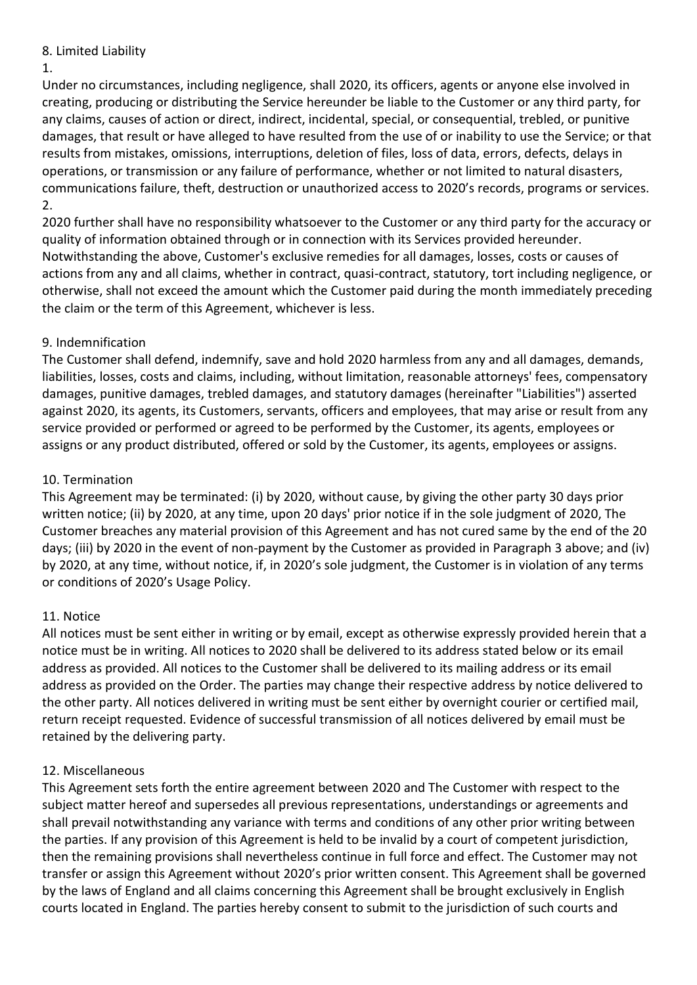### 8. Limited Liability

#### 1.

Under no circumstances, including negligence, shall 2020, its officers, agents or anyone else involved in creating, producing or distributing the Service hereunder be liable to the Customer or any third party, for any claims, causes of action or direct, indirect, incidental, special, or consequential, trebled, or punitive damages, that result or have alleged to have resulted from the use of or inability to use the Service; or that results from mistakes, omissions, interruptions, deletion of files, loss of data, errors, defects, delays in operations, or transmission or any failure of performance, whether or not limited to natural disasters, communications failure, theft, destruction or unauthorized access to 2020's records, programs or services. 2.

2020 further shall have no responsibility whatsoever to the Customer or any third party for the accuracy or quality of information obtained through or in connection with its Services provided hereunder. Notwithstanding the above, Customer's exclusive remedies for all damages, losses, costs or causes of actions from any and all claims, whether in contract, quasi-contract, statutory, tort including negligence, or otherwise, shall not exceed the amount which the Customer paid during the month immediately preceding the claim or the term of this Agreement, whichever is less.

## 9. Indemnification

The Customer shall defend, indemnify, save and hold 2020 harmless from any and all damages, demands, liabilities, losses, costs and claims, including, without limitation, reasonable attorneys' fees, compensatory damages, punitive damages, trebled damages, and statutory damages (hereinafter "Liabilities") asserted against 2020, its agents, its Customers, servants, officers and employees, that may arise or result from any service provided or performed or agreed to be performed by the Customer, its agents, employees or assigns or any product distributed, offered or sold by the Customer, its agents, employees or assigns.

### 10. Termination

This Agreement may be terminated: (i) by 2020, without cause, by giving the other party 30 days prior written notice; (ii) by 2020, at any time, upon 20 days' prior notice if in the sole judgment of 2020, The Customer breaches any material provision of this Agreement and has not cured same by the end of the 20 days; (iii) by 2020 in the event of non-payment by the Customer as provided in Paragraph 3 above; and (iv) by 2020, at any time, without notice, if, in 2020's sole judgment, the Customer is in violation of any terms or conditions of 2020's Usage Policy.

## 11. Notice

All notices must be sent either in writing or by email, except as otherwise expressly provided herein that a notice must be in writing. All notices to 2020 shall be delivered to its address stated below or its email address as provided. All notices to the Customer shall be delivered to its mailing address or its email address as provided on the Order. The parties may change their respective address by notice delivered to the other party. All notices delivered in writing must be sent either by overnight courier or certified mail, return receipt requested. Evidence of successful transmission of all notices delivered by email must be retained by the delivering party.

## 12. Miscellaneous

This Agreement sets forth the entire agreement between 2020 and The Customer with respect to the subject matter hereof and supersedes all previous representations, understandings or agreements and shall prevail notwithstanding any variance with terms and conditions of any other prior writing between the parties. If any provision of this Agreement is held to be invalid by a court of competent jurisdiction, then the remaining provisions shall nevertheless continue in full force and effect. The Customer may not transfer or assign this Agreement without 2020's prior written consent. This Agreement shall be governed by the laws of England and all claims concerning this Agreement shall be brought exclusively in English courts located in England. The parties hereby consent to submit to the jurisdiction of such courts and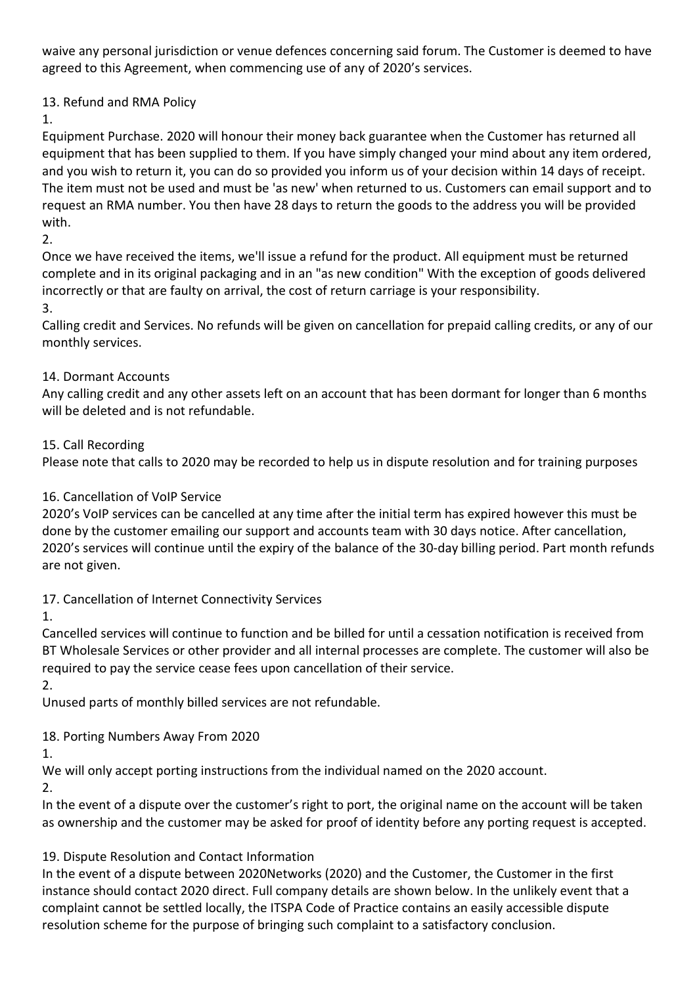waive any personal jurisdiction or venue defences concerning said forum. The Customer is deemed to have agreed to this Agreement, when commencing use of any of 2020's services.

## 13. Refund and RMA Policy

1.

Equipment Purchase. 2020 will honour their money back guarantee when the Customer has returned all equipment that has been supplied to them. If you have simply changed your mind about any item ordered, and you wish to return it, you can do so provided you inform us of your decision within 14 days of receipt. The item must not be used and must be 'as new' when returned to us. Customers can email support and to request an RMA number. You then have 28 days to return the goods to the address you will be provided with.

 $2<sub>1</sub>$ 

Once we have received the items, we'll issue a refund for the product. All equipment must be returned complete and in its original packaging and in an "as new condition" With the exception of goods delivered incorrectly or that are faulty on arrival, the cost of return carriage is your responsibility.

### 3.

Calling credit and Services. No refunds will be given on cancellation for prepaid calling credits, or any of our monthly services.

## 14. Dormant Accounts

Any calling credit and any other assets left on an account that has been dormant for longer than 6 months will be deleted and is not refundable.

## 15. Call Recording

Please note that calls to 2020 may be recorded to help us in dispute resolution and for training purposes

## 16. Cancellation of VoIP Service

2020's VoIP services can be cancelled at any time after the initial term has expired however this must be done by the customer emailing our support and accounts team with 30 days notice. After cancellation, 2020's services will continue until the expiry of the balance of the 30-day billing period. Part month refunds are not given.

17. Cancellation of Internet Connectivity Services

1.

Cancelled services will continue to function and be billed for until a cessation notification is received from BT Wholesale Services or other provider and all internal processes are complete. The customer will also be required to pay the service cease fees upon cancellation of their service.

2.

Unused parts of monthly billed services are not refundable.

## 18. Porting Numbers Away From 2020

1.

We will only accept porting instructions from the individual named on the 2020 account.

2.

In the event of a dispute over the customer's right to port, the original name on the account will be taken as ownership and the customer may be asked for proof of identity before any porting request is accepted.

## 19. Dispute Resolution and Contact Information

In the event of a dispute between 2020Networks (2020) and the Customer, the Customer in the first instance should contact 2020 direct. Full company details are shown below. In the unlikely event that a complaint cannot be settled locally, the ITSPA Code of Practice contains an easily accessible dispute resolution scheme for the purpose of bringing such complaint to a satisfactory conclusion.